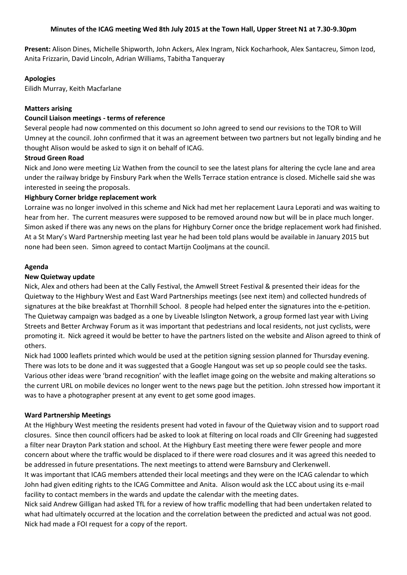**Present:** Alison Dines, Michelle Shipworth, John Ackers, Alex Ingram, Nick Kocharhook, Alex Santacreu, Simon Izod, Anita Frizzarin, David Lincoln, Adrian Williams, Tabitha Tanqueray

## **Apologies**

Eilidh Murray, Keith Macfarlane

## **Matters arising**

## **Council Liaison meetings - terms of reference**

Several people had now commented on this document so John agreed to send our revisions to the TOR to Will Umney at the council. John confirmed that it was an agreement between two partners but not legally binding and he thought Alison would be asked to sign it on behalf of ICAG.

# **Stroud Green Road**

Nick and Jono were meeting Liz Wathen from the council to see the latest plans for altering the cycle lane and area under the railway bridge by Finsbury Park when the Wells Terrace station entrance is closed. Michelle said she was interested in seeing the proposals.

## **Highbury Corner bridge replacement work**

Lorraine was no longer involved in this scheme and Nick had met her replacement Laura Leporati and was waiting to hear from her. The current measures were supposed to be removed around now but will be in place much longer. Simon asked if there was any news on the plans for Highbury Corner once the bridge replacement work had finished. At a St Mary's Ward Partnership meeting last year he had been told plans would be available in January 2015 but none had been seen. Simon agreed to contact Martijn Cooljmans at the council.

## **Agenda**

# **New Quietway update**

Nick, Alex and others had been at the Cally Festival, the Amwell Street Festival & presented their ideas for the Quietway to the Highbury West and East Ward Partnerships meetings (see next item) and collected hundreds of signatures at the bike breakfast at Thornhill School. 8 people had helped enter the signatures into the e-petition. The Quietway campaign was badged as a one by Liveable Islington Network, a group formed last year with Living Streets and Better Archway Forum as it was important that pedestrians and local residents, not just cyclists, were promoting it. Nick agreed it would be better to have the partners listed on the website and Alison agreed to think of others.

Nick had 1000 leaflets printed which would be used at the petition signing session planned for Thursday evening. There was lots to be done and it was suggested that a Google Hangout was set up so people could see the tasks. Various other ideas were 'brand recognition' with the leaflet image going on the website and making alterations so the current URL on mobile devices no longer went to the news page but the petition. John stressed how important it was to have a photographer present at any event to get some good images.

## **Ward Partnership Meetings**

At the Highbury West meeting the residents present had voted in favour of the Quietway vision and to support road closures. Since then council officers had be asked to look at filtering on local roads and Cllr Greening had suggested a filter near Drayton Park station and school. At the Highbury East meeting there were fewer people and more concern about where the traffic would be displaced to if there were road closures and it was agreed this needed to be addressed in future presentations. The next meetings to attend were Barnsbury and Clerkenwell.

It was important that ICAG members attended their local meetings and they were on the ICAG calendar to which John had given editing rights to the ICAG Committee and Anita. Alison would ask the LCC about using its e-mail facility to contact members in the wards and update the calendar with the meeting dates.

Nick said Andrew Gilligan had asked TfL for a review of how traffic modelling that had been undertaken related to what had ultimately occurred at the location and the correlation between the predicted and actual was not good. Nick had made a FOI request for a copy of the report.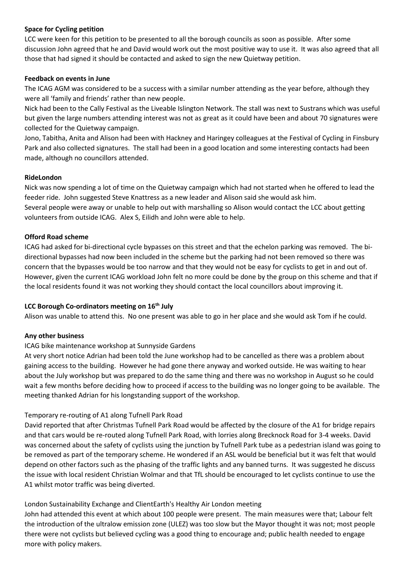## **Space for Cycling petition**

LCC were keen for this petition to be presented to all the borough councils as soon as possible. After some discussion John agreed that he and David would work out the most positive way to use it. It was also agreed that all those that had signed it should be contacted and asked to sign the new Quietway petition.

## **Feedback on events in June**

The ICAG AGM was considered to be a success with a similar number attending as the year before, although they were all 'family and friends' rather than new people.

Nick had been to the Cally Festival as the Liveable Islington Network. The stall was next to Sustrans which was useful but given the large numbers attending interest was not as great as it could have been and about 70 signatures were collected for the Quietway campaign.

Jono, Tabitha, Anita and Alison had been with Hackney and Haringey colleagues at the Festival of Cycling in Finsbury Park and also collected signatures. The stall had been in a good location and some interesting contacts had been made, although no councillors attended.

## **RideLondon**

Nick was now spending a lot of time on the Quietway campaign which had not started when he offered to lead the feeder ride. John suggested Steve Knattress as a new leader and Alison said she would ask him. Several people were away or unable to help out with marshalling so Alison would contact the LCC about getting

volunteers from outside ICAG. Alex S, Eilidh and John were able to help.

#### **Offord Road scheme**

ICAG had asked for bi-directional cycle bypasses on this street and that the echelon parking was removed. The bidirectional bypasses had now been included in the scheme but the parking had not been removed so there was concern that the bypasses would be too narrow and that they would not be easy for cyclists to get in and out of. However, given the current ICAG workload John felt no more could be done by the group on this scheme and that if the local residents found it was not working they should contact the local councillors about improving it.

#### **LCC Borough Co-ordinators meeting on 16th July**

Alison was unable to attend this. No one present was able to go in her place and she would ask Tom if he could.

#### **Any other business**

## ICAG bike maintenance workshop at Sunnyside Gardens

At very short notice Adrian had been told the June workshop had to be cancelled as there was a problem about gaining access to the building. However he had gone there anyway and worked outside. He was waiting to hear about the July workshop but was prepared to do the same thing and there was no workshop in August so he could wait a few months before deciding how to proceed if access to the building was no longer going to be available. The meeting thanked Adrian for his longstanding support of the workshop.

## Temporary re-routing of A1 along Tufnell Park Road

David reported that after Christmas Tufnell Park Road would be affected by the closure of the A1 for bridge repairs and that cars would be re-routed along Tufnell Park Road, with lorries along Brecknock Road for 3-4 weeks. David was concerned about the safety of cyclists using the junction by Tufnell Park tube as a pedestrian island was going to be removed as part of the temporary scheme. He wondered if an ASL would be beneficial but it was felt that would depend on other factors such as the phasing of the traffic lights and any banned turns. It was suggested he discuss the issue with local resident Christian Wolmar and that TfL should be encouraged to let cyclists continue to use the A1 whilst motor traffic was being diverted.

## London Sustainability Exchange and ClientEarth's Healthy Air London meeting

John had attended this event at which about 100 people were present. The main measures were that; Labour felt the introduction of the ultralow emission zone (ULEZ) was too slow but the Mayor thought it was not; most people there were not cyclists but believed cycling was a good thing to encourage and; public health needed to engage more with policy makers.